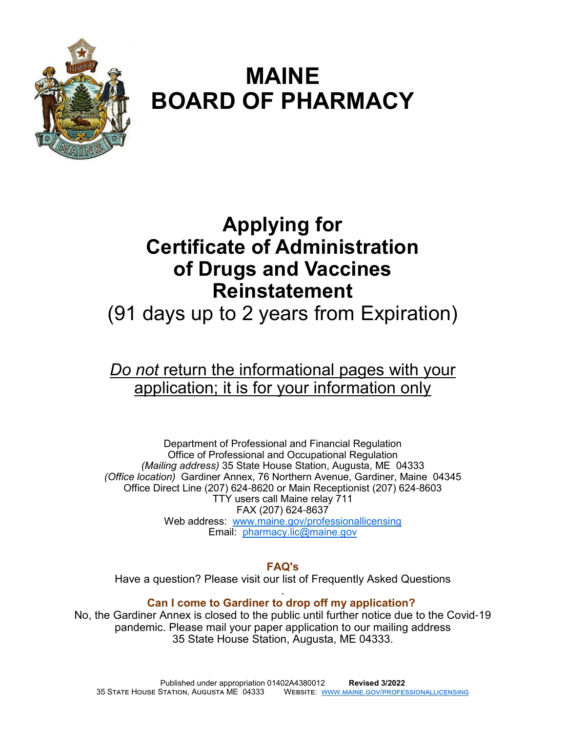

# **MAINE BOARD OF PHARMACY**

# **Applying for Certificate of Administration of Drugs and Vaccines Reinstatement**

# (91 days up to 2 years from Expiration)

# *Do not* return the informational pages with your application; it is for your information only

Department of Professional and Financial Regulation Office of Professional and Occupational Regulation *(Mailing address)* 35 State House Station, Augusta, ME 04333 *(Office location)* Gardiner Annex, 76 Northern Avenue, Gardiner, Maine 04345 Office Direct Line (207) 624-8620 or Main Receptionist (207) 624-8603 TTY users call Maine relay 711 FAX (207) 624-8637 Web address: www.maine.gov/professionallicensing Email: pharmacy.lic@maine.gov

#### **FAQ's**

Have a question? Please visit our list of Frequently Asked Questions

#### . **Can I come to Gardiner to drop off my application?**

No, the Gardiner Annex is closed to the public until further notice due to the Covid-19 pandemic. Please mail your paper application to our mailing address 35 State House Station, Augusta, ME 04333.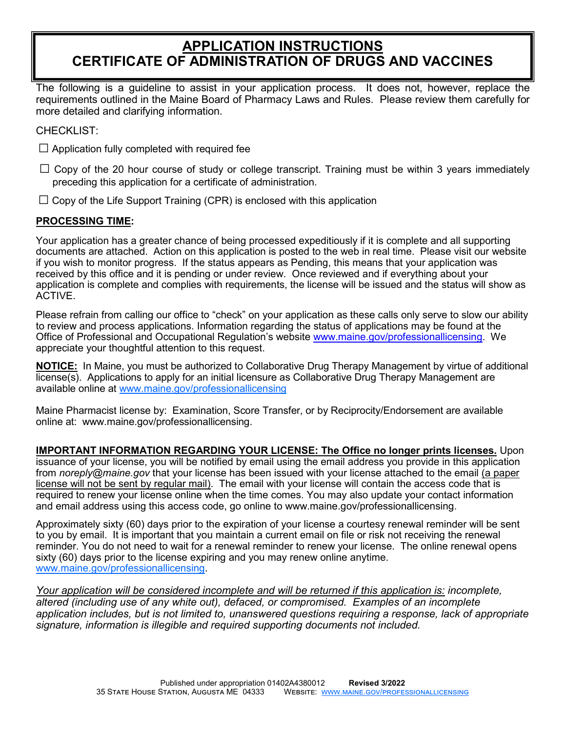# **APPLICATION INSTRUCTIONS CERTIFICATE OF ADMINISTRATION OF DRUGS AND VACCINES**

The following is a guideline to assist in your application process. It does not, however, replace the requirements outlined in the Maine Board of Pharmacy Laws and Rules. Please review them carefully for more detailed and clarifying information.

CHECKLIST:

- $\Box$  Application fully completed with required fee
- $\Box$  Copy of the 20 hour course of study or college transcript. Training must be within 3 years immediately preceding this application for a certificate of administration.
- $\Box$  Copy of the Life Support Training (CPR) is enclosed with this application

#### **PROCESSING TIME:**

Your application has a greater chance of being processed expeditiously if it is complete and all supporting documents are attached. Action on this application is posted to the web in real time. Please visit our website if you wish to monitor progress. If the status appears as Pending, this means that your application was received by this office and it is pending or under review. Once reviewed and if everything about your application is complete and complies with requirements, the license will be issued and the status will show as ACTIVE.

Please refrain from calling our office to "check" on your application as these calls only serve to slow our ability to review and process applications. Information regarding the status of applications may be found at the Office of Professional and Occupational Regulation's website www.maine.gov/professionallicensing. We appreciate your thoughtful attention to this request.

**NOTICE:** In Maine, you must be authorized to Collaborative Drug Therapy Management by virtue of additional license(s). Applications to apply for an initial licensure as Collaborative Drug Therapy Management are available online at www.maine.gov/professionallicensing

Maine Pharmacist license by: Examination, Score Transfer, or by Reciprocity/Endorsement are available online at: www.maine.gov/professionallicensing.

**IMPORTANT INFORMATION REGARDING YOUR LICENSE: The Office no longer prints licenses.** Upon issuance of your license, you will be notified by email using the email address you provide in this application from *noreply@maine.gov* that your license has been issued with your license attached to the email (a paper license will not be sent by regular mail). The email with your license will contain the access code that is required to renew your license online when the time comes. You may also update your contact information and email address using this access code, go online to www.maine.gov/professionallicensing.

Approximately sixty (60) days prior to the expiration of your license a courtesy renewal reminder will be sent to you by email. It is important that you maintain a current email on file or risk not receiving the renewal reminder. You do not need to wait for a renewal reminder to renew your license. The online renewal opens sixty (60) days prior to the license expiring and you may renew online anytime. www.maine.gov/professionallicensing.

*Your application will be considered incomplete and will be returned if this application is: incomplete, altered (including use of any white out), defaced, or compromised. Examples of an incomplete application includes, but is not limited to, unanswered questions requiring a response, lack of appropriate signature, information is illegible and required supporting documents not included.*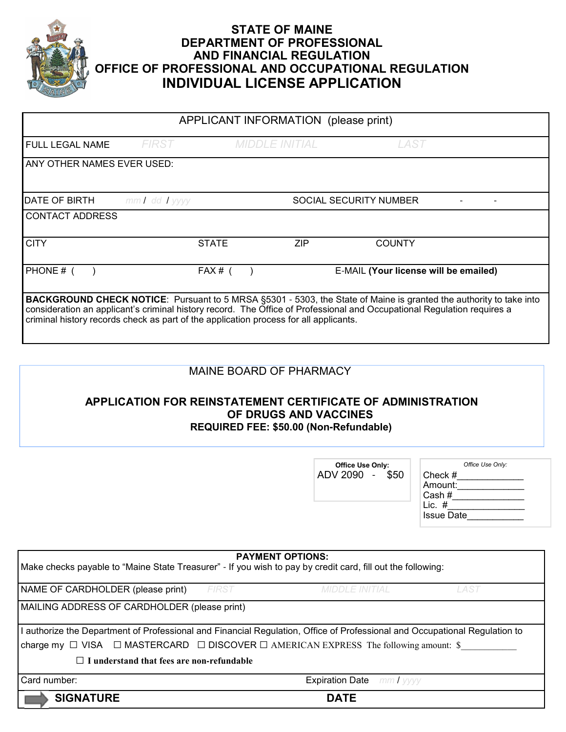

## **STATE OF MAINE DEPARTMENT OF PROFESSIONAL AND FINANCIAL REGULATION OFFICE OF PROFESSIONAL AND OCCUPATIONAL REGULATION INDIVIDUAL LICENSE APPLICATION**

| APPLICANT INFORMATION (please print)                                                                                                                                                                                                                                                                                                          |                   |              |                       |                               |                                       |
|-----------------------------------------------------------------------------------------------------------------------------------------------------------------------------------------------------------------------------------------------------------------------------------------------------------------------------------------------|-------------------|--------------|-----------------------|-------------------------------|---------------------------------------|
| <b>FULL LEGAL NAME</b>                                                                                                                                                                                                                                                                                                                        | <i>FIRST</i>      |              | <b>MIDDLE INITIAL</b> | LAST                          |                                       |
| ANY OTHER NAMES EVER USED:                                                                                                                                                                                                                                                                                                                    |                   |              |                       |                               |                                       |
|                                                                                                                                                                                                                                                                                                                                               |                   |              |                       |                               |                                       |
| <b>DATE OF BIRTH</b>                                                                                                                                                                                                                                                                                                                          | $mmI$ dd $I$ yyyy |              |                       | <b>SOCIAL SECURITY NUMBER</b> |                                       |
| <b>CONTACT ADDRESS</b>                                                                                                                                                                                                                                                                                                                        |                   |              |                       |                               |                                       |
| <b>CITY</b>                                                                                                                                                                                                                                                                                                                                   |                   | <b>STATE</b> | <b>ZIP</b>            | <b>COUNTY</b>                 |                                       |
| PHONE # (                                                                                                                                                                                                                                                                                                                                     |                   | $FAX#$ (     |                       |                               | E-MAIL (Your license will be emailed) |
| <b>BACKGROUND CHECK NOTICE:</b> Pursuant to 5 MRSA §5301 - 5303, the State of Maine is granted the authority to take into<br>consideration an applicant's criminal history record. The Office of Professional and Occupational Regulation requires a<br>criminal history records check as part of the application process for all applicants. |                   |              |                       |                               |                                       |

## MAINE BOARD OF PHARMACY

### **APPLICATION FOR REINSTATEMENT CERTIFICATE OF ADMINISTRATION OF DRUGS AND VACCINES REQUIRED FEE: \$50.00 (Non-Refundable)**

|                                                                                                                            | <b>Office Use Only:</b><br>ADV 2090 -<br>\$50 | Office Use Only:<br>Check $#$<br>Amount:<br>$\mathsf{Cash}~\#$<br>Lic. $#$<br><b>Issue Date</b> |
|----------------------------------------------------------------------------------------------------------------------------|-----------------------------------------------|-------------------------------------------------------------------------------------------------|
| <b>PAYMENT OPTIONS:</b>                                                                                                    |                                               |                                                                                                 |
| Make checks payable to "Maine State Treasurer" - If you wish to pay by credit card, fill out the following:                |                                               |                                                                                                 |
| <b>FIRST</b><br>NAME OF CARDHOLDER (please print)                                                                          | <b>MIDDLE INITIAL</b>                         | LAST                                                                                            |
| MAILING ADDRESS OF CARDHOLDER (please print)                                                                               |                                               |                                                                                                 |
| I authorize the Department of Professional and Financial Regulation, Office of Professional and Occupational Regulation to |                                               |                                                                                                 |
| charge my $\Box$ VISA $\Box$ MASTERCARD $\Box$ DISCOVER $\Box$ AMERICAN EXPRESS The following amount: \$                   |                                               |                                                                                                 |
| $\Box$ I understand that fees are non-refundable                                                                           |                                               |                                                                                                 |
| Card number:                                                                                                               | <b>Expiration Date</b> mm / yyyy              |                                                                                                 |
| <b>SIGNATURE</b>                                                                                                           | <b>DATE</b>                                   |                                                                                                 |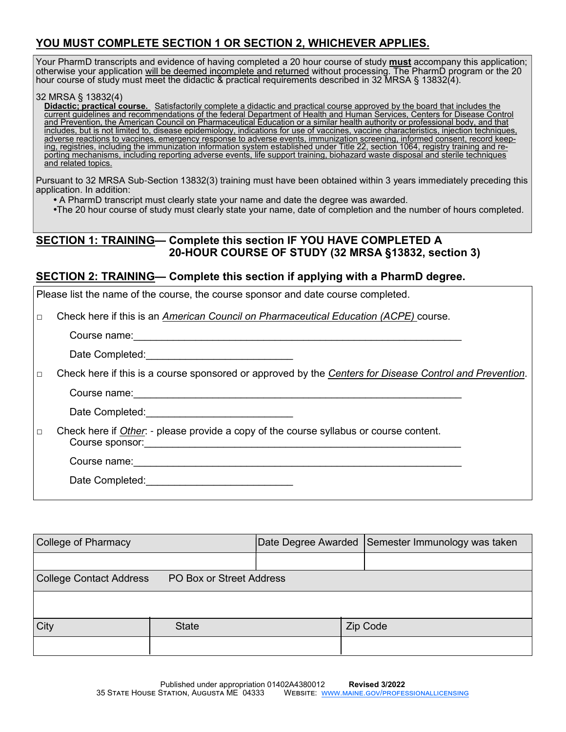### **YOU MUST COMPLETE SECTION 1 OR SECTION 2, WHICHEVER APPLIES.**

Your PharmD transcripts and evidence of having completed a 20 hour course of study **must** accompany this application; otherwise your application <u>will be deemed incomplete and returned</u> without processing. The PharmD program or the 20 hour course of study must meet the didactic & practical requirements described in 32 MRSA § 13832(4).

#### 32 MRSA § 13832(4)

**Didactic; practical course.** Satisfactorily complete a didactic and practical course approved by the board that includes the current guidelines and recommendations of the federal Department of Health and Human Services, Centers for Disease Control and Prevention, the American Council on Pharmaceutical Education or a similar health authority or professional body, and that includes, but is not limited to, disease epidemiology, indications for use of vaccines, vaccine characteristics, injection techniques, adverse reactions to vaccines, emergency response to adverse events, immunization screening, informed consent, record keeping, registries, including the immunization information system established under Title 22, section 1064, registry training and reporting mechanisms, including reporting adverse events, life support training, biohazard waste disposal and sterile techniques and related topics.

Pursuant to 32 MRSA Sub-Section 13832(3) training must have been obtained within 3 years immediately preceding this application. In addition:

• A PharmD transcript must clearly state your name and date the degree was awarded.

•The 20 hour course of study must clearly state your name, date of completion and the number of hours completed.

#### **SECTION 1: TRAINING— Complete this section IF YOU HAVE COMPLETED A 20-HOUR COURSE OF STUDY (32 MRSA §13832, section 3)**

#### **SECTION 2: TRAINING— Complete this section if applying with a PharmD degree.**

|        | Please list the name of the course, the course sponsor and date course completed.                                                                                                                                                                                                                                              |  |
|--------|--------------------------------------------------------------------------------------------------------------------------------------------------------------------------------------------------------------------------------------------------------------------------------------------------------------------------------|--|
| $\Box$ | Check here if this is an American Council on Pharmaceutical Education (ACPE) course.                                                                                                                                                                                                                                           |  |
|        |                                                                                                                                                                                                                                                                                                                                |  |
|        |                                                                                                                                                                                                                                                                                                                                |  |
| $\Box$ | Check here if this is a course sponsored or approved by the Centers for Disease Control and Prevention.                                                                                                                                                                                                                        |  |
|        |                                                                                                                                                                                                                                                                                                                                |  |
|        | Date Completed: <u>__________________________</u>                                                                                                                                                                                                                                                                              |  |
| $\Box$ | Check here if Other: - please provide a copy of the course syllabus or course content.<br>Course sponsor: <u>contract and contract and contract and contract and contract and contract and contract and contract and contract and contract and contract and contract and contract and contract and contract and contract a</u> |  |
|        | Course name: <u>contract and contract and contract and contract and contract and contract and contract of the set</u>                                                                                                                                                                                                          |  |
|        | Date Completed: and the completed:                                                                                                                                                                                                                                                                                             |  |
|        |                                                                                                                                                                                                                                                                                                                                |  |

| College of Pharmacy                                 |              |  | Date Degree Awarded Semester Immunology was taken |
|-----------------------------------------------------|--------------|--|---------------------------------------------------|
|                                                     |              |  |                                                   |
| College Contact Address<br>PO Box or Street Address |              |  |                                                   |
|                                                     |              |  |                                                   |
| City                                                | <b>State</b> |  | Zip Code                                          |
|                                                     |              |  |                                                   |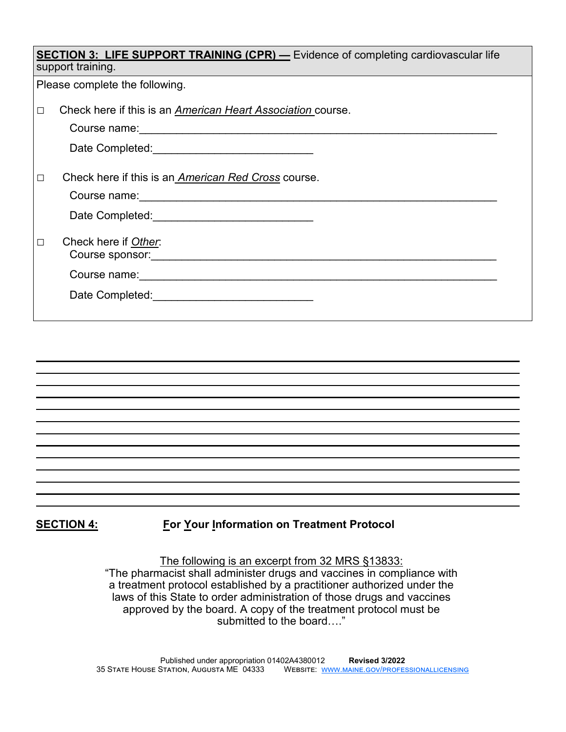| <b>SECTION 3: LIFE SUPPORT TRAINING (CPR)</b> - Evidence of completing cardiovascular life<br>support training. |                                                                                                                                                                                                                                                                                                     |  |  |
|-----------------------------------------------------------------------------------------------------------------|-----------------------------------------------------------------------------------------------------------------------------------------------------------------------------------------------------------------------------------------------------------------------------------------------------|--|--|
|                                                                                                                 | Please complete the following.                                                                                                                                                                                                                                                                      |  |  |
| □                                                                                                               | Check here if this is an American Heart Association course.<br>Course name: <u>Course and Course and Course and Course and Course and Course and Course and Course and Course and Course and Course and Course and Course and Course and Course and Course and Course and Course and Course and</u> |  |  |
|                                                                                                                 |                                                                                                                                                                                                                                                                                                     |  |  |
| $\Box$                                                                                                          | Check here if this is an <i>American Red Cross</i> course.                                                                                                                                                                                                                                          |  |  |
| $\Box$                                                                                                          | Check here if Other.                                                                                                                                                                                                                                                                                |  |  |
|                                                                                                                 |                                                                                                                                                                                                                                                                                                     |  |  |
|                                                                                                                 |                                                                                                                                                                                                                                                                                                     |  |  |

## **SECTION 4:** For Your Information on Treatment Protocol

The following is an excerpt from 32 MRS §13833: "The pharmacist shall administer drugs and vaccines in compliance with a treatment protocol established by a practitioner authorized under the laws of this State to order administration of those drugs and vaccines approved by the board. A copy of the treatment protocol must be submitted to the board…."